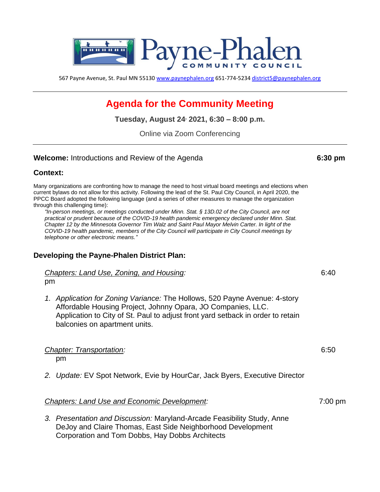

567 Payne Avenue, St. Paul MN 55130 [www.paynephalen.org](http://www.paynephalen.org/) 651-774-5234 [district5@paynephalen.org](mailto:district5@paynephalen.org)

# **Agenda for the Community Meeting**

**Tuesday, August 24, 2021, 6:30 – 8:00 p.m.**

Online via Zoom Conferencing

#### **Welcome:** Introductions and Review of the Agenda **6:30 pm**

### **Context:**

Many organizations are confronting how to manage the need to host virtual board meetings and elections when current bylaws do not allow for this activity. Following the lead of the St. Paul City Council, in April 2020, the PPCC Board adopted the following language (and a series of other measures to manage the organization through this challenging time):

*"In-person meetings, or meetings conducted under Minn. Stat. § 13D.02 of the City Council, are not practical or prudent because of the COVID-19 health pandemic emergency declared under Minn. Stat. Chapter 12 by the Minnesota Governor Tim Walz and Saint Paul Mayor Melvin Carter. In light of the COVID-19 health pandemic, members of the City Council will participate in City Council meetings by telephone or other electronic means."*

## **Developing the Payne-Phalen District Plan:**

*Chapters: Land Use, Zoning, and Housing:* 6:40 pm

*1. Application for Zoning Variance:* The Hollows, 520 Payne Avenue: 4-story Affordable Housing Project, Johnny Opara, JO Companies, LLC. Application to City of St. Paul to adjust front yard setback in order to retain balconies on apartment units.

#### *Chapter: Transportation:* 6:50

pm

*2. Update:* EV Spot Network, Evie by HourCar, Jack Byers, Executive Director

#### *Chapters: Land Use and Economic Development:* 7:00 pm

*3. Presentation and Discussion:* Maryland-Arcade Feasibility Study, Anne DeJoy and Claire Thomas, East Side Neighborhood Development Corporation and Tom Dobbs, Hay Dobbs Architects